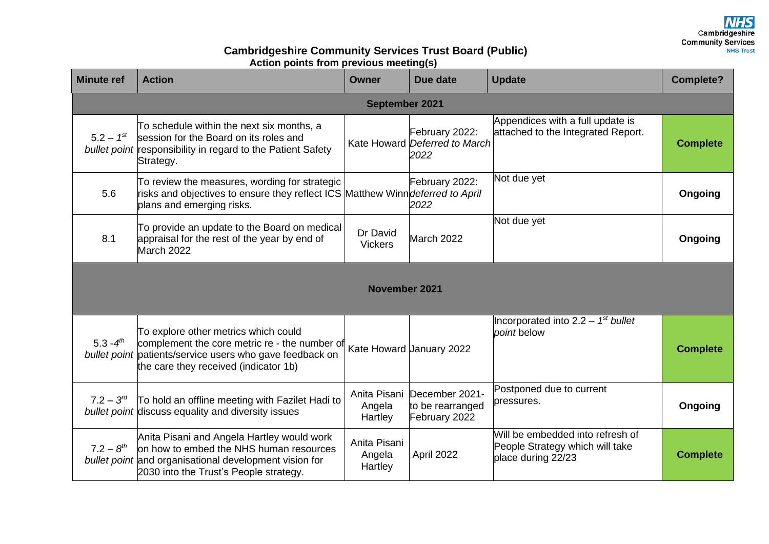## **Cambridgeshire Community Services Trust Board (Public) Action points from previous meeting(s)**

| <b>Minute ref</b>    | <b>Action</b>                                                                                                                                                                              | <b>Owner</b>                      | Due date                                                | <b>Update</b>                                                                             | <b>Complete?</b> |  |
|----------------------|--------------------------------------------------------------------------------------------------------------------------------------------------------------------------------------------|-----------------------------------|---------------------------------------------------------|-------------------------------------------------------------------------------------------|------------------|--|
| September 2021       |                                                                                                                                                                                            |                                   |                                                         |                                                                                           |                  |  |
| $5.2 - 1^{st}$       | To schedule within the next six months, a<br>session for the Board on its roles and<br>bullet point responsibility in regard to the Patient Safety<br>Strategy.                            |                                   | February 2022:<br>Kate Howard Deferred to March<br>2022 | Appendices with a full update is<br>attached to the Integrated Report.                    | <b>Complete</b>  |  |
| 5.6                  | To review the measures, wording for strategic<br>risks and objectives to ensure they reflect ICS Matthew Winn <i>deferred to April</i><br>plans and emerging risks.                        |                                   | February 2022:<br>2022                                  | Not due yet                                                                               | Ongoing          |  |
| 8.1                  | To provide an update to the Board on medical<br>appraisal for the rest of the year by end of<br>March 2022                                                                                 | Dr David<br><b>Vickers</b>        | March 2022                                              | Not due yet                                                                               | Ongoing          |  |
| <b>November 2021</b> |                                                                                                                                                                                            |                                   |                                                         |                                                                                           |                  |  |
| $5.3 - 4^{th}$       | To explore other metrics which could<br>complement the core metric re - the number of<br>bullet point patients/service users who gave feedback on<br>the care they received (indicator 1b) |                                   | Kate Howard <i>January</i> 2022                         | Incorporated into $2.2 - 1^{st}$ bullet<br>point below                                    | <b>Complete</b>  |  |
| $7.2 - 3^{rd}$       | To hold an offline meeting with Fazilet Hadi to<br>bullet point discuss equality and diversity issues                                                                                      | Anita Pisani<br>Angela<br>Hartley | December 2021-<br>to be rearranged<br>February 2022     | Postponed due to current<br>pressures.                                                    | Ongoing          |  |
| $7.2 - 8^{th}$       | Anita Pisani and Angela Hartley would work<br>on how to embed the NHS human resources<br>bullet point and organisational development vision for<br>2030 into the Trust's People strategy.  | Anita Pisani<br>Angela<br>Hartley | April 2022                                              | Will be embedded into refresh of<br>People Strategy which will take<br>place during 22/23 | <b>Complete</b>  |  |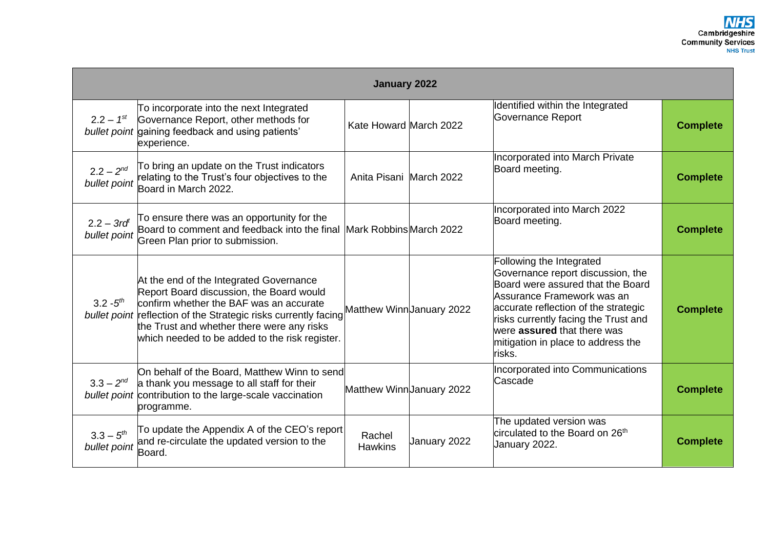| January 2022                    |                                                                                                                                                                                                                                                                                                   |                          |                          |                                                                                                                                                                                                                                                                                                 |                 |  |
|---------------------------------|---------------------------------------------------------------------------------------------------------------------------------------------------------------------------------------------------------------------------------------------------------------------------------------------------|--------------------------|--------------------------|-------------------------------------------------------------------------------------------------------------------------------------------------------------------------------------------------------------------------------------------------------------------------------------------------|-----------------|--|
| $2.2 - 1^{st}$                  | To incorporate into the next Integrated<br>Governance Report, other methods for<br>bullet point gaining feedback and using patients'<br>experience.                                                                                                                                               | Kate Howard March 2022   |                          | Identified within the Integrated<br>Governance Report                                                                                                                                                                                                                                           | <b>Complete</b> |  |
| $2.2 - 2^{nd}$<br>bullet point  | To bring an update on the Trust indicators<br>relating to the Trust's four objectives to the<br>Board in March 2022.                                                                                                                                                                              | Anita Pisani March 2022  |                          | Incorporated into March Private<br>Board meeting.                                                                                                                                                                                                                                               | <b>Complete</b> |  |
| $2.2 - 3rd^{t}$<br>bullet point | To ensure there was an opportunity for the<br>Board to comment and feedback into the final<br>Green Plan prior to submission.                                                                                                                                                                     | Mark Robbins March 2022  |                          | Incorporated into March 2022<br>Board meeting.                                                                                                                                                                                                                                                  | <b>Complete</b> |  |
| $3.2 - 5^{th}$                  | At the end of the Integrated Governance<br>Report Board discussion, the Board would<br>confirm whether the BAF was an accurate<br>bullet point reflection of the Strategic risks currently facing<br>the Trust and whether there were any risks<br>which needed to be added to the risk register. |                          | Matthew WinnJanuary 2022 | Following the Integrated<br>Governance report discussion, the<br>Board were assured that the Board<br>Assurance Framework was an<br>accurate reflection of the strategic<br>risks currently facing the Trust and<br>were assured that there was<br>mitigation in place to address the<br>risks. | <b>Complete</b> |  |
| $3.3 - 2^{nd}$                  | On behalf of the Board, Matthew Winn to send<br>a thank you message to all staff for their<br>bullet point contribution to the large-scale vaccination<br>programme.                                                                                                                              |                          | Matthew WinnUanuary 2022 | Incorporated into Communications<br>Cascade                                                                                                                                                                                                                                                     | <b>Complete</b> |  |
| $3.3 - 5^{th}$<br>bullet point  | To update the Appendix A of the CEO's report<br>and re-circulate the updated version to the<br>Board.                                                                                                                                                                                             | Rachel<br><b>Hawkins</b> | January 2022             | The updated version was<br>circulated to the Board on 26 <sup>th</sup><br>January 2022.                                                                                                                                                                                                         | <b>Complete</b> |  |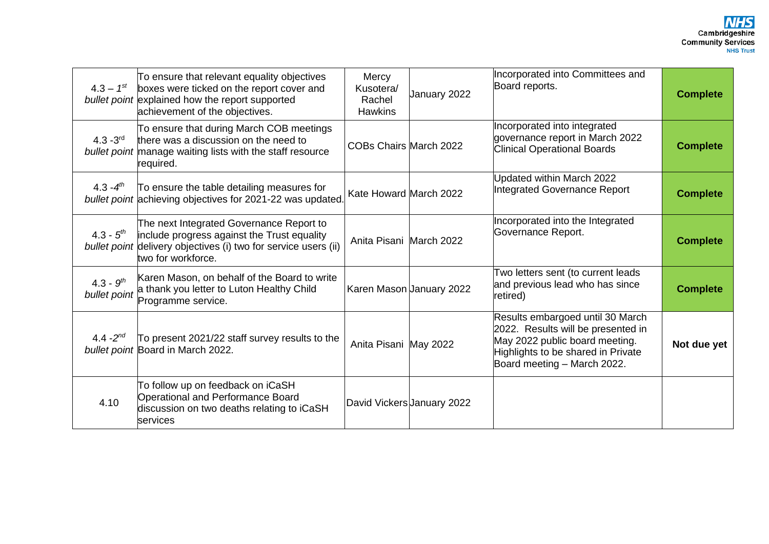| $4.3 - 1^{st}$                 | To ensure that relevant equality objectives<br>boxes were ticked on the report cover and<br>bullet point explained how the report supported<br>achievement of the objectives.    | Mercy<br>Kusotera/<br>Rachel<br><b>Hawkins</b> | January 2022               | Incorporated into Committees and<br>Board reports.                                                                                                                            | <b>Complete</b> |
|--------------------------------|----------------------------------------------------------------------------------------------------------------------------------------------------------------------------------|------------------------------------------------|----------------------------|-------------------------------------------------------------------------------------------------------------------------------------------------------------------------------|-----------------|
| $4.3 - 3^{rd}$                 | To ensure that during March COB meetings<br>there was a discussion on the need to<br>bullet point manage waiting lists with the staff resource<br>required.                      | <b>COBs Chairs March 2022</b>                  |                            | Incorporated into integrated<br>governance report in March 2022<br><b>Clinical Operational Boards</b>                                                                         | <b>Complete</b> |
| $4.3 - 4^{th}$                 | To ensure the table detailing measures for<br>bullet point achieving objectives for 2021-22 was updated                                                                          | Kate Howard March 2022                         |                            | Updated within March 2022<br>Integrated Governance Report                                                                                                                     | <b>Complete</b> |
| $4.3 - 5th$                    | The next Integrated Governance Report to<br>include progress against the Trust equality<br>bullet point delivery objectives (i) two for service users (ii)<br>two for workforce. | Anita Pisani March 2022                        |                            | Incorporated into the Integrated<br>Governance Report.                                                                                                                        | <b>Complete</b> |
| $4.3 - 9^{th}$<br>bullet point | Karen Mason, on behalf of the Board to write<br>a thank you letter to Luton Healthy Child<br>Programme service.                                                                  |                                                | Karen Mason January 2022   | Two letters sent (to current leads<br>and previous lead who has since<br>retired)                                                                                             | <b>Complete</b> |
| 4.4 - $2^{nd}$                 | To present 2021/22 staff survey results to the<br>bullet point Board in March 2022.                                                                                              | Anita Pisani May 2022                          |                            | Results embargoed until 30 March<br>2022. Results will be presented in<br>May 2022 public board meeting.<br>Highlights to be shared in Private<br>Board meeting - March 2022. | Not due yet     |
| 4.10                           | To follow up on feedback on iCaSH<br><b>Operational and Performance Board</b><br>discussion on two deaths relating to iCaSH<br><b>Services</b>                                   |                                                | David Vickers January 2022 |                                                                                                                                                                               |                 |